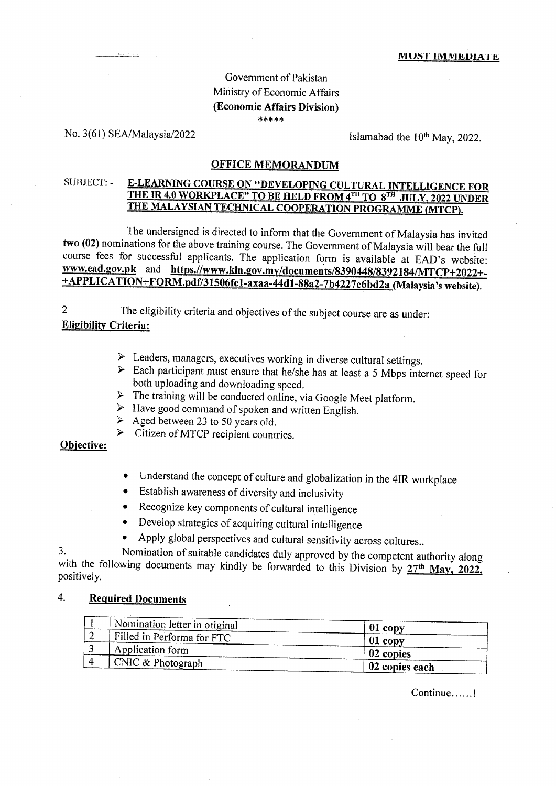# Government of Pakistan Ministry of Economic Affairs (Economic Affairs Division) \*\*\*\*\*

### No. 3(61) SEA/Malaysia/2022

Islamabad the 10<sup>th</sup> May, 2022.

### **OFFICE MEMORANDUM**

### SUBJECT: -**E-LEARNING COURSE ON "DEVELOPING CULTURAL INTELLIGENCE FOR** THE IR 4.0 WORKPLACE" TO BE HELD FROM 4TH TO 8TH JULY, 2022 UNDER THE MALAYSIAN TECHNICAL COOPERATION PROGRAMME (MTCP).

The undersigned is directed to inform that the Government of Malaysia has invited two (02) nominations for the above training course. The Government of Malaysia will bear the full course fees for successful applicants. The application form is available at EAD's website: www.ead.gov.pk and https.//www.kln.gov.my/documents/8390448/8392184/MTCP+2022+-+APPLICATION+FORM.pdf/31506fe1-axaa-44d1-88a2-7b4227e6bd2a (Malaysia's website).

The eligibility criteria and objectives of the subject course are as under:  $\overline{2}$ **Eligibility Criteria:** 

- $\triangleright$  Leaders, managers, executives working in diverse cultural settings.
- $\triangleright$  Each participant must ensure that he/she has at least a 5 Mbps internet speed for both uploading and downloading speed.
- $\triangleright$  The training will be conducted online, via Google Meet platform.
- $\triangleright$  Have good command of spoken and written English.
- $\triangleright$  Aged between 23 to 50 years old.
- $\triangleright$  Citizen of MTCP recipient countries.

## Objective:

- Understand the concept of culture and globalization in the 4IR workplace  $\bullet$
- Establish awareness of diversity and inclusivity  $\bullet$
- Recognize key components of cultural intelligence  $\bullet$
- Develop strategies of acquiring cultural intelligence
- Apply global perspectives and cultural sensitivity across cultures..

Nomination of suitable candidates duly approved by the competent authority along 3. with the following documents may kindly be forwarded to this Division by  $27<sup>th</sup>$  May, 2022, positively.

#### 4. **Required Documents**

| A Nomination letter in original | $01$ copy      |
|---------------------------------|----------------|
| Filled in Performa for FTC      | $01$ copy      |
| Application form                | 02 copies      |
| $\Gamma$ CNIC & Photograph      | 02 copies each |

Continue......!